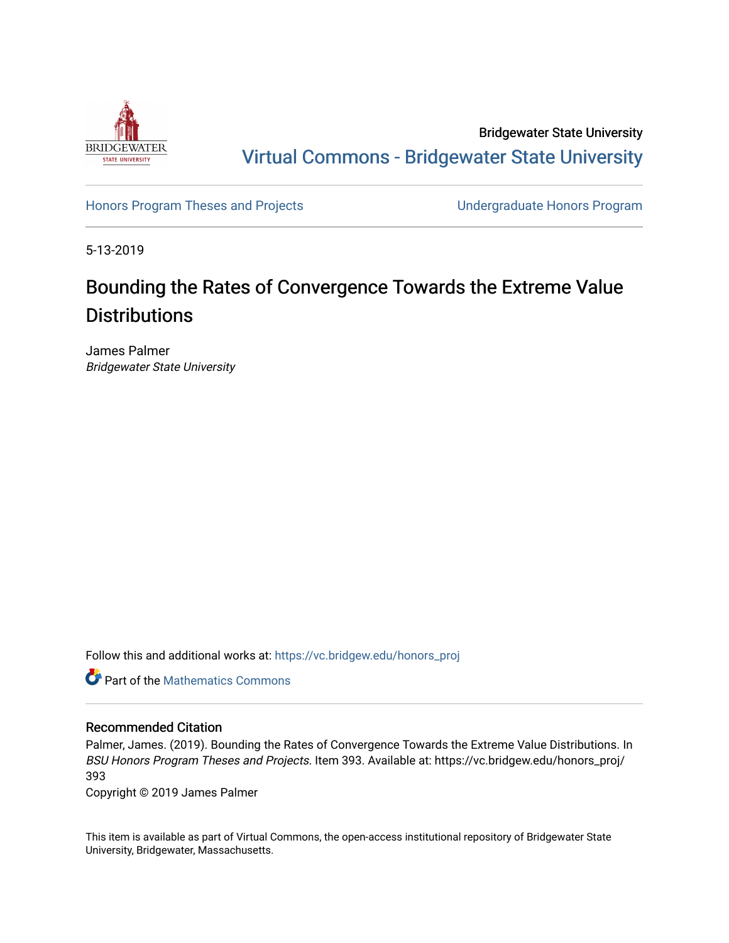

Bridgewater State University [Virtual Commons - Bridgewater State University](https://vc.bridgew.edu/) 

[Honors Program Theses and Projects](https://vc.bridgew.edu/honors_proj) [Undergraduate Honors Program](https://vc.bridgew.edu/honors) 

5-13-2019

# Bounding the Rates of Convergence Towards the Extreme Value **Distributions**

James Palmer Bridgewater State University

Follow this and additional works at: [https://vc.bridgew.edu/honors\\_proj](https://vc.bridgew.edu/honors_proj?utm_source=vc.bridgew.edu%2Fhonors_proj%2F393&utm_medium=PDF&utm_campaign=PDFCoverPages)



### Recommended Citation

Palmer, James. (2019). Bounding the Rates of Convergence Towards the Extreme Value Distributions. In BSU Honors Program Theses and Projects. Item 393. Available at: https://vc.bridgew.edu/honors\_proj/ 393

Copyright © 2019 James Palmer

This item is available as part of Virtual Commons, the open-access institutional repository of Bridgewater State University, Bridgewater, Massachusetts.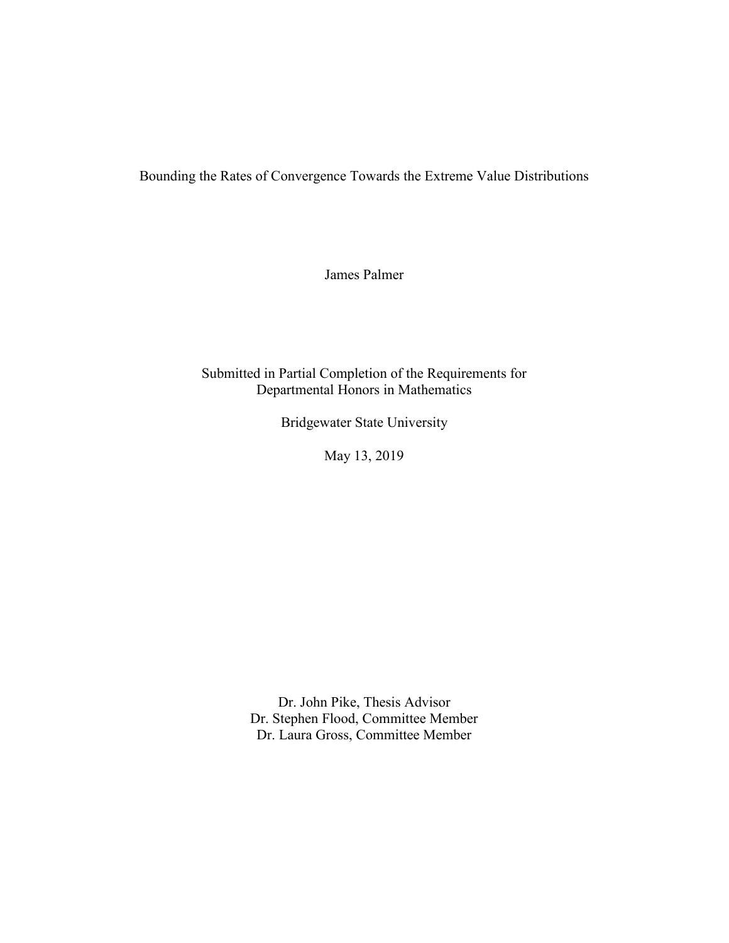Bounding the Rates of Convergence Towards the Extreme Value Distributions

James Palmer

Submitted in Partial Completion of the Requirements for Departmental Honors in Mathematics

Bridgewater State University

May 13, 2019

Dr. John Pike, Thesis Advisor Dr. Stephen Flood, Committee Member Dr. Laura Gross, Committee Member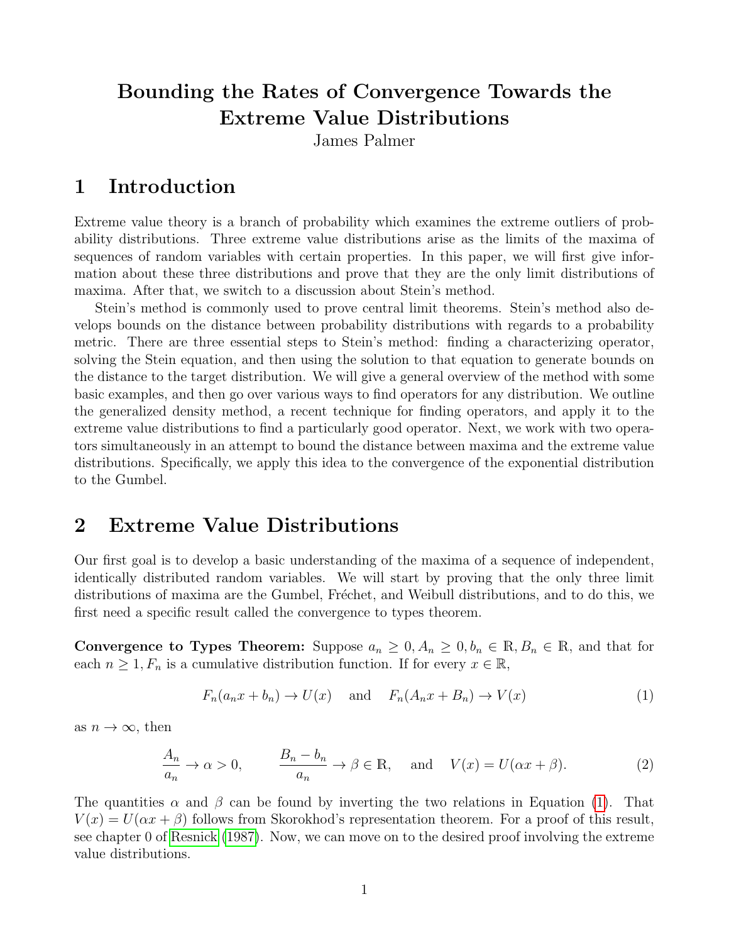# Bounding the Rates of Convergence Towards the Extreme Value Distributions

James Palmer

# 1 Introduction

Extreme value theory is a branch of probability which examines the extreme outliers of probability distributions. Three extreme value distributions arise as the limits of the maxima of sequences of random variables with certain properties. In this paper, we will first give information about these three distributions and prove that they are the only limit distributions of maxima. After that, we switch to a discussion about Stein's method.

Stein's method is commonly used to prove central limit theorems. Stein's method also develops bounds on the distance between probability distributions with regards to a probability metric. There are three essential steps to Stein's method: finding a characterizing operator, solving the Stein equation, and then using the solution to that equation to generate bounds on the distance to the target distribution. We will give a general overview of the method with some basic examples, and then go over various ways to find operators for any distribution. We outline the generalized density method, a recent technique for finding operators, and apply it to the extreme value distributions to find a particularly good operator. Next, we work with two operators simultaneously in an attempt to bound the distance between maxima and the extreme value distributions. Specifically, we apply this idea to the convergence of the exponential distribution to the Gumbel.

# 2 Extreme Value Distributions

Our first goal is to develop a basic understanding of the maxima of a sequence of independent, identically distributed random variables. We will start by proving that the only three limit distributions of maxima are the Gumbel, Fréchet, and Weibull distributions, and to do this, we first need a specific result called the convergence to types theorem.

Convergence to Types Theorem: Suppose  $a_n \geq 0, A_n \geq 0, b_n \in \mathbb{R}, B_n \in \mathbb{R}$ , and that for each  $n \geq 1, F_n$  is a cumulative distribution function. If for every  $x \in \mathbb{R}$ ,

<span id="page-2-0"></span>
$$
F_n(a_nx + b_n) \to U(x) \quad \text{and} \quad F_n(A_nx + B_n) \to V(x) \tag{1}
$$

as  $n \to \infty$ , then

$$
\frac{A_n}{a_n} \to \alpha > 0, \qquad \frac{B_n - b_n}{a_n} \to \beta \in \mathbb{R}, \quad \text{and} \quad V(x) = U(\alpha x + \beta). \tag{2}
$$

The quantities  $\alpha$  and  $\beta$  can be found by inverting the two relations in Equation [\(1\)](#page-2-0). That  $V(x) = U(\alpha x + \beta)$  follows from Skorokhod's representation theorem. For a proof of this result, see chapter 0 of [Resnick](#page-17-0) [\(1987\)](#page-17-0). Now, we can move on to the desired proof involving the extreme value distributions.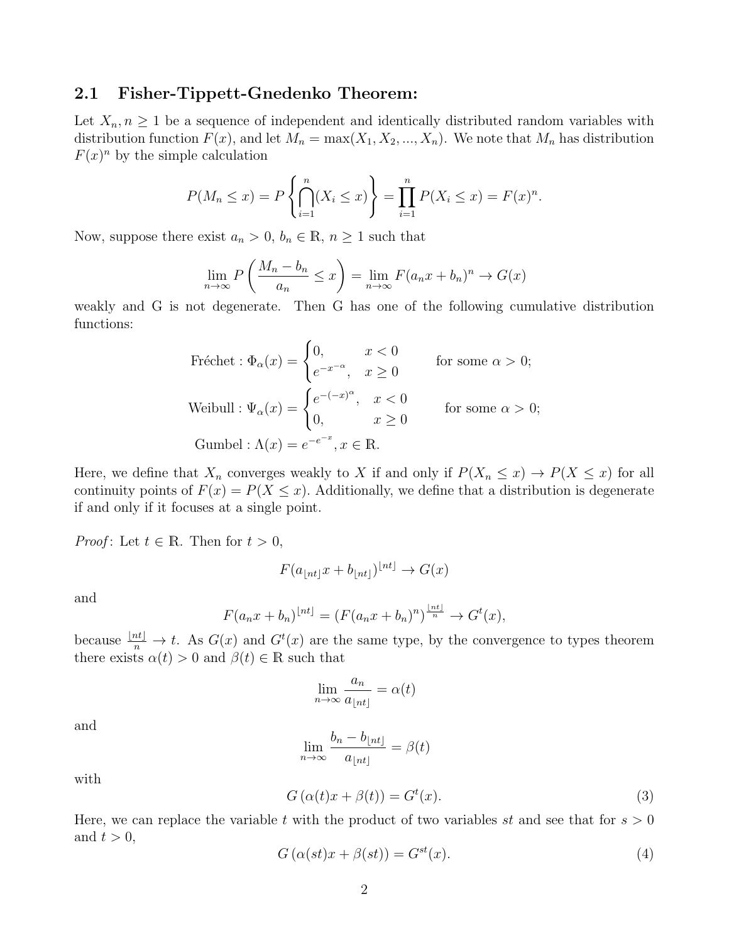### <span id="page-3-2"></span>2.1 Fisher-Tippett-Gnedenko Theorem:

Let  $X_n, n \geq 1$  be a sequence of independent and identically distributed random variables with distribution function  $F(x)$ , and let  $M_n = \max(X_1, X_2, ..., X_n)$ . We note that  $M_n$  has distribution  $F(x)^n$  by the simple calculation

<span id="page-3-0"></span>
$$
P(M_n \le x) = P\left\{\bigcap_{i=1}^n (X_i \le x)\right\} = \prod_{i=1}^n P(X_i \le x) = F(x)^n.
$$

Now, suppose there exist  $a_n > 0$ ,  $b_n \in \mathbb{R}$ ,  $n \ge 1$  such that

$$
\lim_{n \to \infty} P\left(\frac{M_n - b_n}{a_n} \le x\right) = \lim_{n \to \infty} F(a_n x + b_n)^n \to G(x)
$$

weakly and G is not degenerate. Then G has one of the following cumulative distribution functions:

Fréchet : 
$$
\Phi_{\alpha}(x) = \begin{cases} 0, & x < 0 \\ e^{-x^{-\alpha}}, & x \ge 0 \end{cases}
$$
 for some  $\alpha > 0$ ;  
\nWeibull :  $\Psi_{\alpha}(x) = \begin{cases} e^{-(-x)^{\alpha}}, & x < 0 \\ 0, & x \ge 0 \end{cases}$  for some  $\alpha > 0$ ;  
\nGumbel :  $\Lambda(x) = e^{-e^{-x}}, x \in \mathbb{R}$ .

Here, we define that  $X_n$  converges weakly to X if and only if  $P(X_n \leq x) \to P(X \leq x)$  for all continuity points of  $F(x) = P(X \leq x)$ . Additionally, we define that a distribution is degenerate if and only if it focuses at a single point.

*Proof*: Let  $t \in \mathbb{R}$ . Then for  $t > 0$ ,

$$
F(a_{\lfloor nt\rfloor}x + b_{\lfloor nt\rfloor})^{\lfloor nt\rfloor} \to G(x)
$$

and

$$
F(a_nx + b_n)^{\lfloor nt \rfloor} = (F(a_nx + b_n)^n)^{\frac{\lfloor nt \rfloor}{n}} \to G^t(x),
$$

because  $\frac{\lfloor nt \rfloor}{n} \to t$ . As  $G(x)$  and  $G^t(x)$  are the same type, by the convergence to types theorem there exists  $\alpha(t) > 0$  and  $\beta(t) \in \mathbb{R}$  such that

$$
\lim_{n \to \infty} \frac{a_n}{a_{\lfloor nt \rfloor}} = \alpha(t)
$$

and

$$
\lim_{n \to \infty} \frac{b_n - b_{\lfloor nt \rfloor}}{a_{\lfloor nt \rfloor}} = \beta(t)
$$

with

$$
G(\alpha(t)x + \beta(t)) = G^{t}(x).
$$
\n(3)

Here, we can replace the variable t with the product of two variables st and see that for  $s > 0$ and  $t > 0$ ,

<span id="page-3-1"></span>
$$
G\left(\alpha(st)x + \beta(st)\right) = G^{st}(x). \tag{4}
$$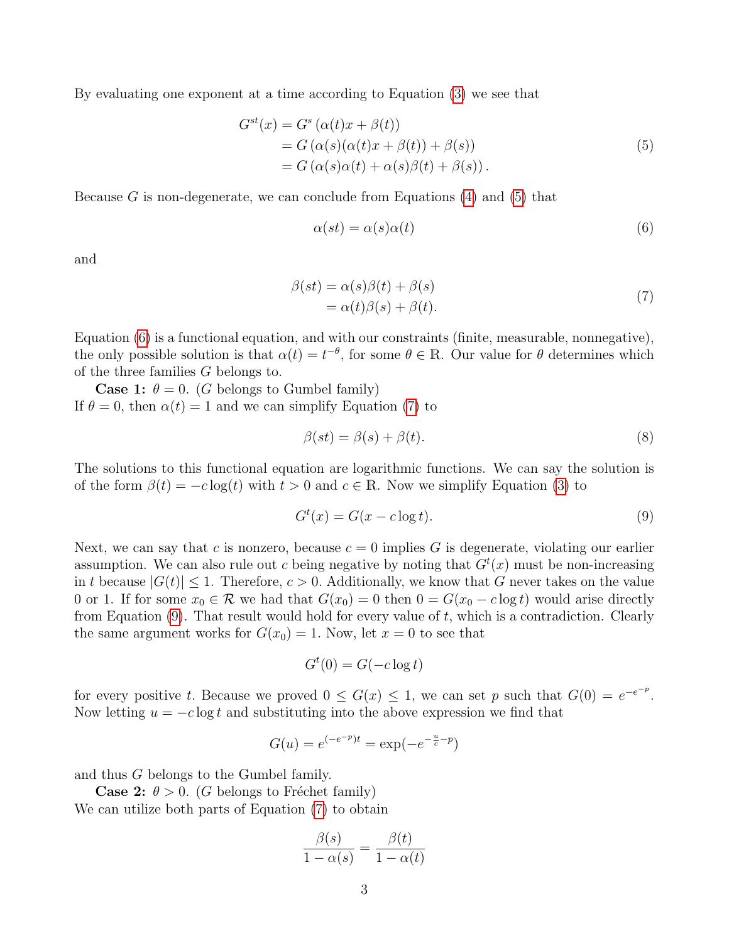<span id="page-4-0"></span>By evaluating one exponent at a time according to Equation [\(3\)](#page-3-0) we see that

$$
G^{st}(x) = G^{s} (\alpha(t)x + \beta(t))
$$
  
=  $G (\alpha(s)(\alpha(t)x + \beta(t)) + \beta(s))$   
=  $G (\alpha(s)\alpha(t) + \alpha(s)\beta(t) + \beta(s)).$  (5)

Because G is non-degenerate, we can conclude from Equations  $(4)$  and  $(5)$  that

<span id="page-4-1"></span>
$$
\alpha(st) = \alpha(s)\alpha(t) \tag{6}
$$

<span id="page-4-2"></span>and

$$
\begin{aligned} \beta(st) &= \alpha(s)\beta(t) + \beta(s) \\ &= \alpha(t)\beta(s) + \beta(t). \end{aligned} \tag{7}
$$

Equation [\(6\)](#page-4-1) is a functional equation, and with our constraints (finite, measurable, nonnegative), the only possible solution is that  $\alpha(t) = t^{-\theta}$ , for some  $\theta \in \mathbb{R}$ . Our value for  $\theta$  determines which of the three families G belongs to.

**Case 1:**  $\theta = 0$ . (G belongs to Gumbel family) If  $\theta = 0$ , then  $\alpha(t) = 1$  and we can simplify Equation [\(7\)](#page-4-2) to

$$
\beta(st) = \beta(s) + \beta(t). \tag{8}
$$

The solutions to this functional equation are logarithmic functions. We can say the solution is of the form  $\beta(t) = -c \log(t)$  with  $t > 0$  and  $c \in \mathbb{R}$ . Now we simplify Equation [\(3\)](#page-3-0) to

<span id="page-4-3"></span>
$$
G^t(x) = G(x - c \log t). \tag{9}
$$

Next, we can say that c is nonzero, because  $c = 0$  implies G is degenerate, violating our earlier assumption. We can also rule out c being negative by noting that  $G<sup>t</sup>(x)$  must be non-increasing in t because  $|G(t)| \leq 1$ . Therefore,  $c > 0$ . Additionally, we know that G never takes on the value 0 or 1. If for some  $x_0 \in \mathcal{R}$  we had that  $G(x_0) = 0$  then  $0 = G(x_0 - c \log t)$  would arise directly from Equation  $(9)$ . That result would hold for every value of t, which is a contradiction. Clearly the same argument works for  $G(x_0) = 1$ . Now, let  $x = 0$  to see that

$$
G^t(0) = G(-c \log t)
$$

for every positive t. Because we proved  $0 \le G(x) \le 1$ , we can set p such that  $G(0) = e^{-e^{-p}}$ . Now letting  $u = -c \log t$  and substituting into the above expression we find that

$$
G(u) = e^{(-e^{-p})t} = \exp(-e^{-\frac{u}{c}-p})
$$

and thus G belongs to the Gumbel family.

**Case 2:**  $\theta > 0$ . (G belongs to Fréchet family) We can utilize both parts of Equation [\(7\)](#page-4-2) to obtain

$$
\frac{\beta(s)}{1-\alpha(s)} = \frac{\beta(t)}{1-\alpha(t)}
$$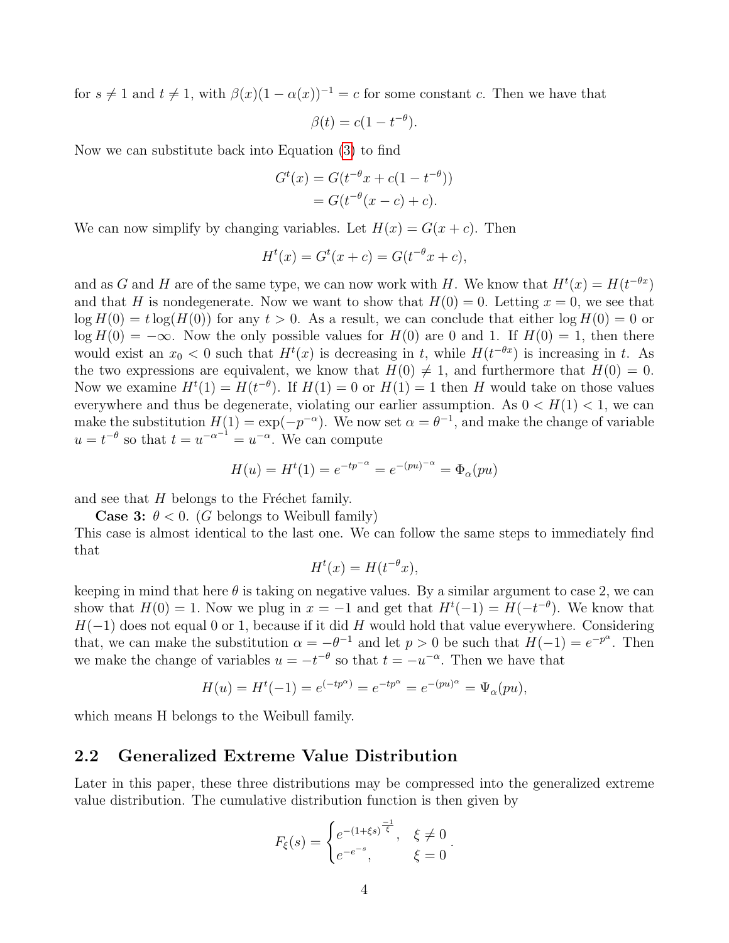for  $s \neq 1$  and  $t \neq 1$ , with  $\beta(x)(1 - \alpha(x))^{-1} = c$  for some constant c. Then we have that

$$
\beta(t) = c(1 - t^{-\theta}).
$$

Now we can substitute back into Equation [\(3\)](#page-3-0) to find

$$
G^{t}(x) = G(t^{-\theta}x + c(1 - t^{-\theta}))
$$
  
=  $G(t^{-\theta}(x - c) + c)$ .

We can now simplify by changing variables. Let  $H(x) = G(x + c)$ . Then

$$
H^{t}(x) = G^{t}(x + c) = G(t^{-\theta}x + c),
$$

and as G and H are of the same type, we can now work with H. We know that  $H^t(x) = H(t^{-\theta x})$ and that H is nondegenerate. Now we want to show that  $H(0) = 0$ . Letting  $x = 0$ , we see that  $\log H(0) = t \log(H(0))$  for any  $t > 0$ . As a result, we can conclude that either  $\log H(0) = 0$  or  $\log H(0) = -\infty$ . Now the only possible values for  $H(0)$  are 0 and 1. If  $H(0) = 1$ , then there would exist an  $x_0 < 0$  such that  $H^t(x)$  is decreasing in t, while  $H(t^{-\theta x})$  is increasing in t. As the two expressions are equivalent, we know that  $H(0) \neq 1$ , and furthermore that  $H(0) = 0$ . Now we examine  $H^t(1) = H(t^{-\theta})$ . If  $H(1) = 0$  or  $H(1) = 1$  then H would take on those values everywhere and thus be degenerate, violating our earlier assumption. As  $0 < H(1) < 1$ , we can make the substitution  $H(1) = \exp(-p^{-\alpha})$ . We now set  $\alpha = \theta^{-1}$ , and make the change of variable  $u = t^{-\theta}$  so that  $t = u^{-\alpha^{-1}} = u^{-\alpha}$ . We can compute

$$
H(u) = Ht(1) = e^{-tp^{-\alpha}} = e^{-(pu)^{-\alpha}} = \Phi_{\alpha}(pu)
$$

and see that  $H$  belongs to the Fréchet family.

**Case 3:**  $\theta$  < 0. (G belongs to Weibull family)

This case is almost identical to the last one. We can follow the same steps to immediately find that

$$
H^t(x) = H(t^{-\theta}x),
$$

keeping in mind that here  $\theta$  is taking on negative values. By a similar argument to case 2, we can show that  $H(0) = 1$ . Now we plug in  $x = -1$  and get that  $H^{t}(-1) = H(-t^{-\theta})$ . We know that  $H(-1)$  does not equal 0 or 1, because if it did H would hold that value everywhere. Considering that, we can make the substitution  $\alpha = -\theta^{-1}$  and let  $p > 0$  be such that  $H(-1) = e^{-p\alpha}$ . Then we make the change of variables  $u = -t^{-\theta}$  so that  $t = -u^{-\alpha}$ . Then we have that

$$
H(u) = Ht(-1) = e^{(-tp\alpha)} = e^{-tp\alpha} = e^{-(pu)\alpha} = \Psi_{\alpha}(pu),
$$

which means H belongs to the Weibull family.

### 2.2 Generalized Extreme Value Distribution

Later in this paper, these three distributions may be compressed into the generalized extreme value distribution. The cumulative distribution function is then given by

$$
F_{\xi}(s) = \begin{cases} e^{-(1+\xi s)^{\frac{-1}{\xi}}}, & \xi \neq 0 \\ e^{-e^{-s}}, & \xi = 0 \end{cases}.
$$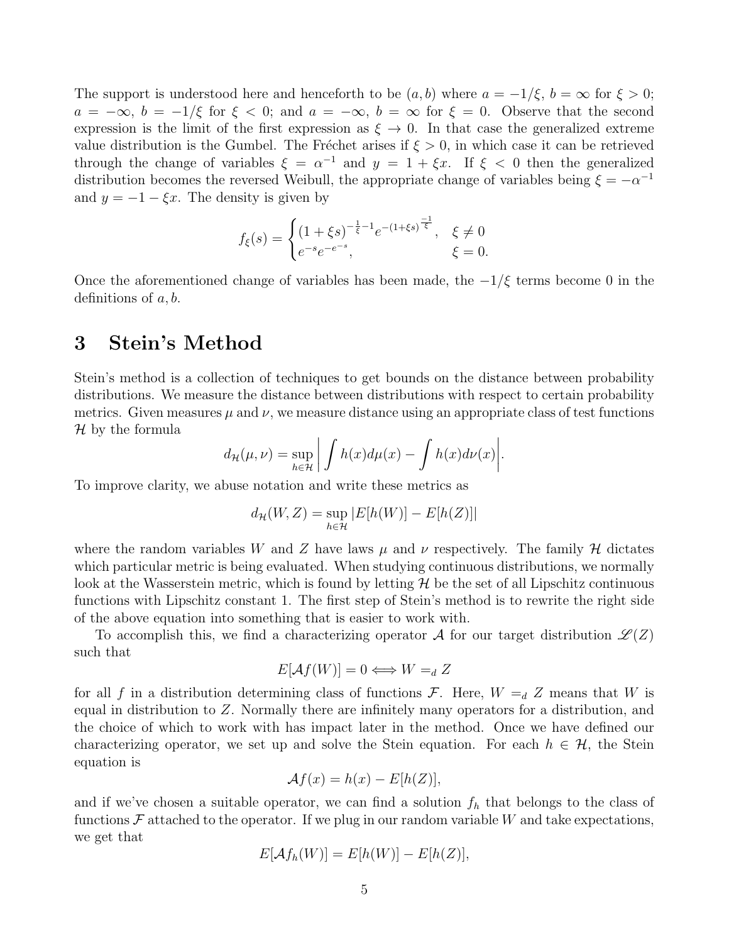The support is understood here and henceforth to be  $(a, b)$  where  $a = -1/\xi$ ,  $b = \infty$  for  $\xi > 0$ ;  $a = -\infty$ ,  $b = -1/\xi$  for  $\xi < 0$ ; and  $a = -\infty$ ,  $b = \infty$  for  $\xi = 0$ . Observe that the second expression is the limit of the first expression as  $\xi \to 0$ . In that case the generalized extreme value distribution is the Gumbel. The Fréchet arises if  $\xi > 0$ , in which case it can be retrieved through the change of variables  $\xi = \alpha^{-1}$  and  $y = 1 + \xi x$ . If  $\xi < 0$  then the generalized distribution becomes the reversed Weibull, the appropriate change of variables being  $\xi = -\alpha^{-1}$ and  $y = -1 - \xi x$ . The density is given by

$$
f_{\xi}(s) = \begin{cases} (1+\xi s)^{-\frac{1}{\xi}-1} e^{-(1+\xi s)^{\frac{-1}{\xi}}}, & \xi \neq 0\\ e^{-s} e^{-e^{-s}}, & \xi = 0. \end{cases}
$$

Once the aforementioned change of variables has been made, the  $-1/\xi$  terms become 0 in the definitions of  $a, b$ .

## 3 Stein's Method

Stein's method is a collection of techniques to get bounds on the distance between probability distributions. We measure the distance between distributions with respect to certain probability metrics. Given measures  $\mu$  and  $\nu$ , we measure distance using an appropriate class of test functions  $\mathcal H$  by the formula

<span id="page-6-0"></span>
$$
d_{\mathcal{H}}(\mu,\nu) = \sup_{h \in \mathcal{H}} \left| \int h(x) d\mu(x) - \int h(x) d\nu(x) \right|.
$$

To improve clarity, we abuse notation and write these metrics as

$$
d_{\mathcal{H}}(W,Z) = \sup_{h \in \mathcal{H}} |E[h(W)] - E[h(Z)]|
$$

where the random variables W and Z have laws  $\mu$  and  $\nu$  respectively. The family H dictates which particular metric is being evaluated. When studying continuous distributions, we normally look at the Wasserstein metric, which is found by letting  $\mathcal H$  be the set of all Lipschitz continuous functions with Lipschitz constant 1. The first step of Stein's method is to rewrite the right side of the above equation into something that is easier to work with.

To accomplish this, we find a characterizing operator A for our target distribution  $\mathscr{L}(Z)$ such that

$$
E[\mathcal{A}f(W)] = 0 \Longleftrightarrow W =_d Z
$$

for all f in a distribution determining class of functions F. Here,  $W = d Z$  means that W is equal in distribution to  $Z$ . Normally there are infinitely many operators for a distribution, and the choice of which to work with has impact later in the method. Once we have defined our characterizing operator, we set up and solve the Stein equation. For each  $h \in \mathcal{H}$ , the Stein equation is

$$
\mathcal{A}f(x) = h(x) - E[h(Z)],
$$

and if we've chosen a suitable operator, we can find a solution  $f<sub>h</sub>$  that belongs to the class of functions  $\mathcal F$  attached to the operator. If we plug in our random variable W and take expectations, we get that

$$
E[\mathcal{A}f_h(W)] = E[h(W)] - E[h(Z)],
$$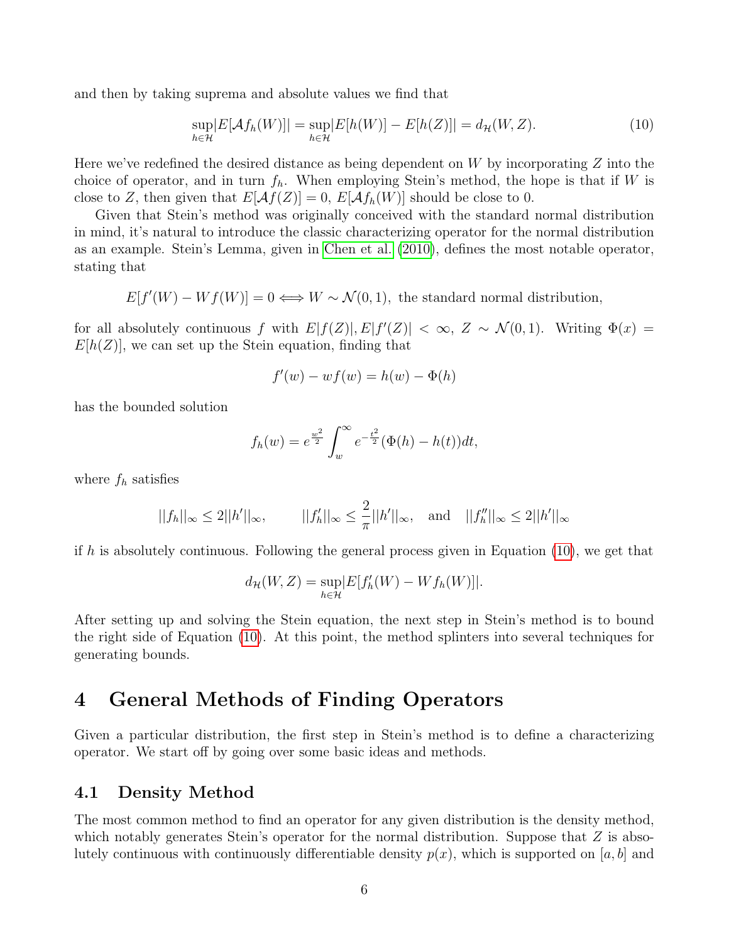and then by taking suprema and absolute values we find that

$$
\sup_{h \in \mathcal{H}} |E[\mathcal{A}f_h(W)]| = \sup_{h \in \mathcal{H}} |E[h(W)] - E[h(Z)]| = d_{\mathcal{H}}(W, Z). \tag{10}
$$

Here we've redefined the desired distance as being dependent on  $W$  by incorporating  $Z$  into the choice of operator, and in turn  $f_h$ . When employing Stein's method, the hope is that if W is close to Z, then given that  $E[\mathcal{A}f(Z)] = 0$ ,  $E[\mathcal{A}f_h(W)]$  should be close to 0.

Given that Stein's method was originally conceived with the standard normal distribution in mind, it's natural to introduce the classic characterizing operator for the normal distribution as an example. Stein's Lemma, given in [Chen et al.](#page-17-1) [\(2010\)](#page-17-1), defines the most notable operator, stating that

$$
E[f'(W) - Wf(W)] = 0 \Longleftrightarrow W \sim \mathcal{N}(0, 1),
$$
 the standard normal distribution,

for all absolutely continuous f with  $E[f(Z)], E[f'(Z)] < \infty$ ,  $Z \sim \mathcal{N}(0, 1)$ . Writing  $\Phi(x) =$  $E[h(Z)]$ , we can set up the Stein equation, finding that

$$
f'(w) - wf(w) = h(w) - \Phi(h)
$$

has the bounded solution

$$
f_h(w) = e^{\frac{w^2}{2}} \int_w^{\infty} e^{-\frac{t^2}{2}} (\Phi(h) - h(t)) dt,
$$

where  $f_h$  satisfies

$$
||f_h||_{\infty} \le 2||h'||_{\infty},
$$
  $||f_h'||_{\infty} \le \frac{2}{\pi}||h'||_{\infty},$  and  $||f_h''||_{\infty} \le 2||h'||_{\infty}$ 

if h is absolutely continuous. Following the general process given in Equation  $(10)$ , we get that

$$
d_{\mathcal{H}}(W,Z) = \sup_{h \in \mathcal{H}} |E[f'_h(W) - Wf_h(W)]|.
$$

After setting up and solving the Stein equation, the next step in Stein's method is to bound the right side of Equation [\(10\)](#page-6-0). At this point, the method splinters into several techniques for generating bounds.

### 4 General Methods of Finding Operators

Given a particular distribution, the first step in Stein's method is to define a characterizing operator. We start off by going over some basic ideas and methods.

### 4.1 Density Method

The most common method to find an operator for any given distribution is the density method, which notably generates Stein's operator for the normal distribution. Suppose that  $Z$  is absolutely continuous with continuously differentiable density  $p(x)$ , which is supported on [a, b] and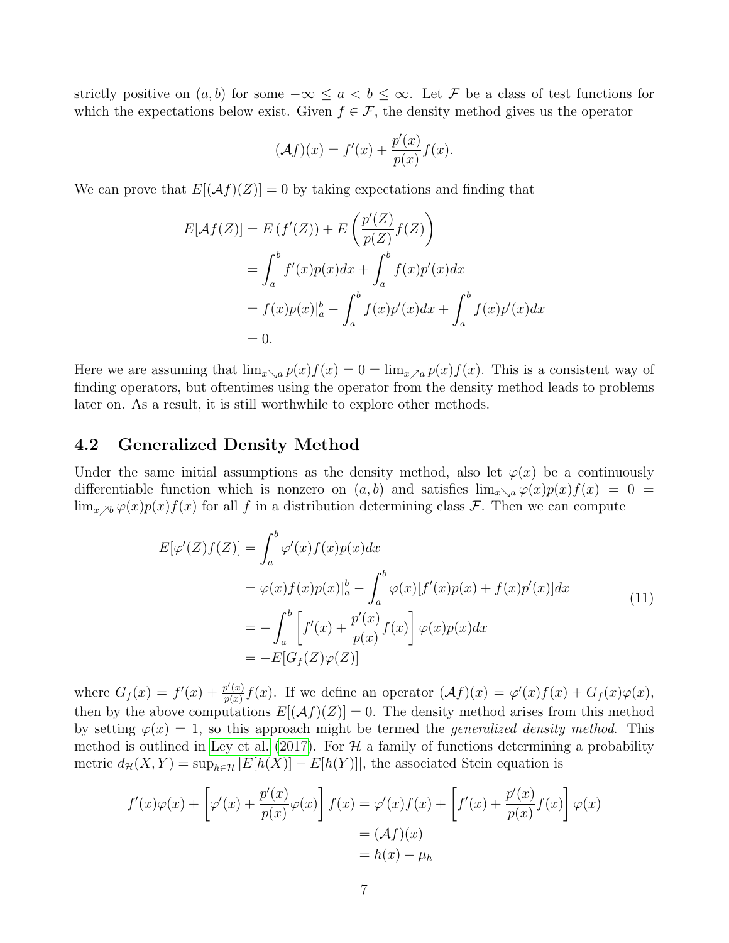strictly positive on  $(a, b)$  for some  $-\infty \le a < b \le \infty$ . Let F be a class of test functions for which the expectations below exist. Given  $f \in \mathcal{F}$ , the density method gives us the operator

<span id="page-8-1"></span>
$$
(\mathcal{A}f)(x) = f'(x) + \frac{p'(x)}{p(x)}f(x).
$$

We can prove that  $E[(Af)(Z)] = 0$  by taking expectations and finding that

$$
E[\mathcal{A}f(Z)] = E(f'(Z)) + E\left(\frac{p'(Z)}{p(Z)}f(Z)\right)
$$
  
= 
$$
\int_a^b f'(x)p(x)dx + \int_a^b f(x)p'(x)dx
$$
  
= 
$$
f(x)p(x)|_a^b - \int_a^b f(x)p'(x)dx + \int_a^b f(x)p'(x)dx
$$
  
= 0.

Here we are assuming that  $\lim_{x\to a} p(x)f(x) = 0 = \lim_{x\to a} p(x)f(x)$ . This is a consistent way of finding operators, but oftentimes using the operator from the density method leads to problems later on. As a result, it is still worthwhile to explore other methods.

### 4.2 Generalized Density Method

Under the same initial assumptions as the density method, also let  $\varphi(x)$  be a continuously differentiable function which is nonzero on  $(a, b)$  and satisfies  $\lim_{x\to a} \varphi(x)p(x)f(x) = 0$  $\lim_{x \to b} \varphi(x)p(x)f(x)$  for all f in a distribution determining class F. Then we can compute

$$
E[\varphi'(Z)f(Z)] = \int_a^b \varphi'(x)f(x)p(x)dx
$$
  
\n
$$
= \varphi(x)f(x)p(x)|_a^b - \int_a^b \varphi(x)[f'(x)p(x) + f(x)p'(x)]dx
$$
  
\n
$$
= -\int_a^b \left[f'(x) + \frac{p'(x)}{p(x)}f(x)\right]\varphi(x)p(x)dx
$$
  
\n
$$
= -E[G_f(Z)\varphi(Z)]
$$
\n(11)

where  $G_f(x) = f'(x) + \frac{p'(x)}{p(x)}$  $\frac{\varphi'(x)}{\varphi(x)}f(x)$ . If we define an operator  $(\mathcal{A}f)(x) = \varphi'(x)f(x) + G_f(x)\varphi(x)$ , then by the above computations  $E[(Af)(Z)] = 0$ . The density method arises from this method by setting  $\varphi(x) = 1$ , so this approach might be termed the *generalized density method*. This method is outlined in [Ley et al.](#page-17-2) [\(2017\)](#page-17-2). For  $\mathcal H$  a family of functions determining a probability metric  $d_{\mathcal{H}}(X, Y) = \sup_{h \in \mathcal{H}} |E[h(X)] - E[h(Y)]|$ , the associated Stein equation is

<span id="page-8-0"></span>
$$
f'(x)\varphi(x) + \left[\varphi'(x) + \frac{p'(x)}{p(x)}\varphi(x)\right]f(x) = \varphi'(x)f(x) + \left[f'(x) + \frac{p'(x)}{p(x)}f(x)\right]\varphi(x)
$$
  
=  $(\mathcal{A}f)(x)$   
=  $h(x) - \mu_h$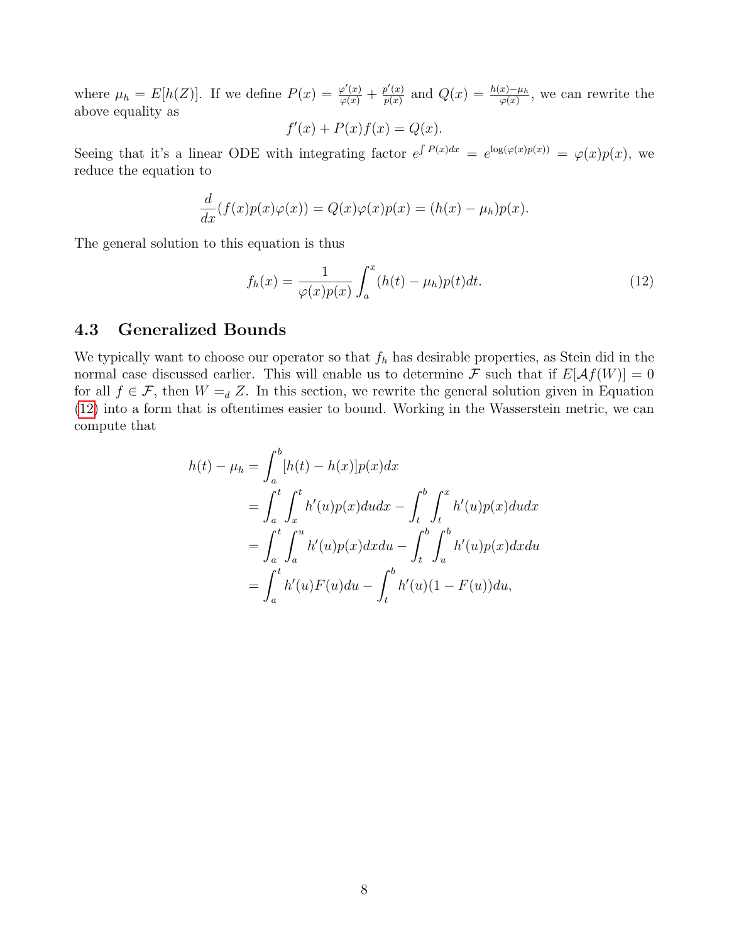where  $\mu_h = E[h(Z)]$ . If we define  $P(x) = \frac{\varphi'(x)}{\varphi(x)} + \frac{p'(x)}{p(x)}$  $\frac{p'(x)}{p(x)}$  and  $Q(x) = \frac{h(x) - \mu_h}{\varphi(x)}$ , we can rewrite the above equality as

$$
f'(x) + P(x)f(x) = Q(x).
$$

Seeing that it's a linear ODE with integrating factor  $e^{\int P(x)dx} = e^{\log(\varphi(x)p(x))} = \varphi(x)p(x)$ , we reduce the equation to

$$
\frac{d}{dx}(f(x)p(x)\varphi(x)) = Q(x)\varphi(x)p(x) = (h(x) - \mu_h)p(x).
$$

The general solution to this equation is thus

$$
f_h(x) = \frac{1}{\varphi(x)p(x)} \int_a^x (h(t) - \mu_h)p(t)dt.
$$
 (12)

### 4.3 Generalized Bounds

We typically want to choose our operator so that  $f<sub>h</sub>$  has desirable properties, as Stein did in the normal case discussed earlier. This will enable us to determine F such that if  $E[Af(W)] = 0$ for all  $f \in \mathcal{F}$ , then  $W =_{d} Z$ . In this section, we rewrite the general solution given in Equation [\(12\)](#page-8-0) into a form that is oftentimes easier to bound. Working in the Wasserstein metric, we can compute that

$$
h(t) - \mu_h = \int_a^b [h(t) - h(x)]p(x)dx
$$
  
= 
$$
\int_a^t \int_x^t h'(u)p(x)du dx - \int_t^b \int_t^x h'(u)p(x)du dx
$$
  
= 
$$
\int_a^t \int_a^u h'(u)p(x)dx du - \int_t^b \int_u^b h'(u)p(x)dx du
$$
  
= 
$$
\int_a^t h'(u)F(u)du - \int_t^b h'(u)(1 - F(u))du,
$$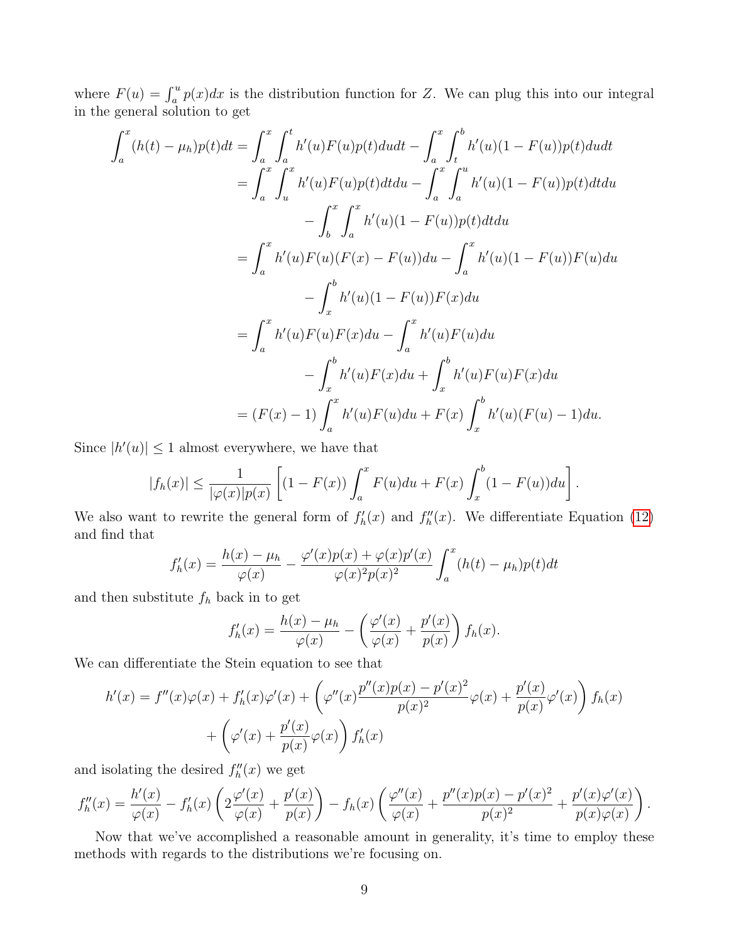where  $F(u) = \int_a^u p(x)dx$  is the distribution function for Z. We can plug this into our integral in the general solution to get

$$
\int_{a}^{x} (h(t) - \mu_h) p(t) dt = \int_{a}^{x} \int_{a}^{t} h'(u) F(u) p(t) du dt - \int_{a}^{x} \int_{t}^{b} h'(u) (1 - F(u)) p(t) du dt
$$
  
\n
$$
= \int_{a}^{x} \int_{u}^{x} h'(u) F(u) p(t) dt du - \int_{a}^{x} \int_{a}^{u} h'(u) (1 - F(u)) p(t) dt du
$$
  
\n
$$
- \int_{b}^{x} \int_{a}^{x} h'(u) (1 - F(u)) p(t) dt du
$$
  
\n
$$
= \int_{a}^{x} h'(u) F(u) (F(x) - F(u)) du - \int_{a}^{x} h'(u) (1 - F(u)) F(u) du
$$
  
\n
$$
- \int_{x}^{b} h'(u) (1 - F(u)) F(x) du
$$
  
\n
$$
- \int_{x}^{b} h'(u) F(u) F(u) du + \int_{x}^{b} h'(u) F(u) F(u) du
$$
  
\n
$$
= (F(x) - 1) \int_{a}^{x} h'(u) F(u) du + F(x) \int_{x}^{b} h'(u) (F(u) - 1) du.
$$

Since  $|h'(u)| \leq 1$  almost everywhere, we have that

$$
|f_h(x)| \leq \frac{1}{|\varphi(x)|p(x)} \left[ (1 - F(x)) \int_a^x F(u) du + F(x) \int_x^b (1 - F(u)) du \right].
$$

We also want to rewrite the general form of  $f'_{h}(x)$  and  $f''_{h}(x)$ . We differentiate Equation [\(12\)](#page-8-0) and find that

$$
f'_h(x) = \frac{h(x) - \mu_h}{\varphi(x)} - \frac{\varphi'(x)p(x) + \varphi(x)p'(x)}{\varphi(x)^2 p(x)^2} \int_a^x (h(t) - \mu_h)p(t)dt
$$

and then substitute  $f_h$  back in to get

$$
f'_h(x) = \frac{h(x) - \mu_h}{\varphi(x)} - \left(\frac{\varphi'(x)}{\varphi(x)} + \frac{p'(x)}{p(x)}\right) f_h(x).
$$

We can differentiate the Stein equation to see that

$$
h'(x) = f''(x)\varphi(x) + f'_h(x)\varphi'(x) + \left(\varphi''(x)\frac{p''(x)p(x) - p'(x)^2}{p(x)^2}\varphi(x) + \frac{p'(x)}{p(x)}\varphi'(x)\right)f_h(x) + \left(\varphi'(x) + \frac{p'(x)}{p(x)}\varphi(x)\right)f'_h(x)
$$

and isolating the desired  $f''_h(x)$  we get

$$
f''_h(x) = \frac{h'(x)}{\varphi(x)} - f'_h(x) \left( 2 \frac{\varphi'(x)}{\varphi(x)} + \frac{p'(x)}{p(x)} \right) - f_h(x) \left( \frac{\varphi''(x)}{\varphi(x)} + \frac{p''(x)p(x) - p'(x)^2}{p(x)^2} + \frac{p'(x)\varphi'(x)}{p(x)\varphi(x)} \right).
$$

Now that we've accomplished a reasonable amount in generality, it's time to employ these methods with regards to the distributions we're focusing on.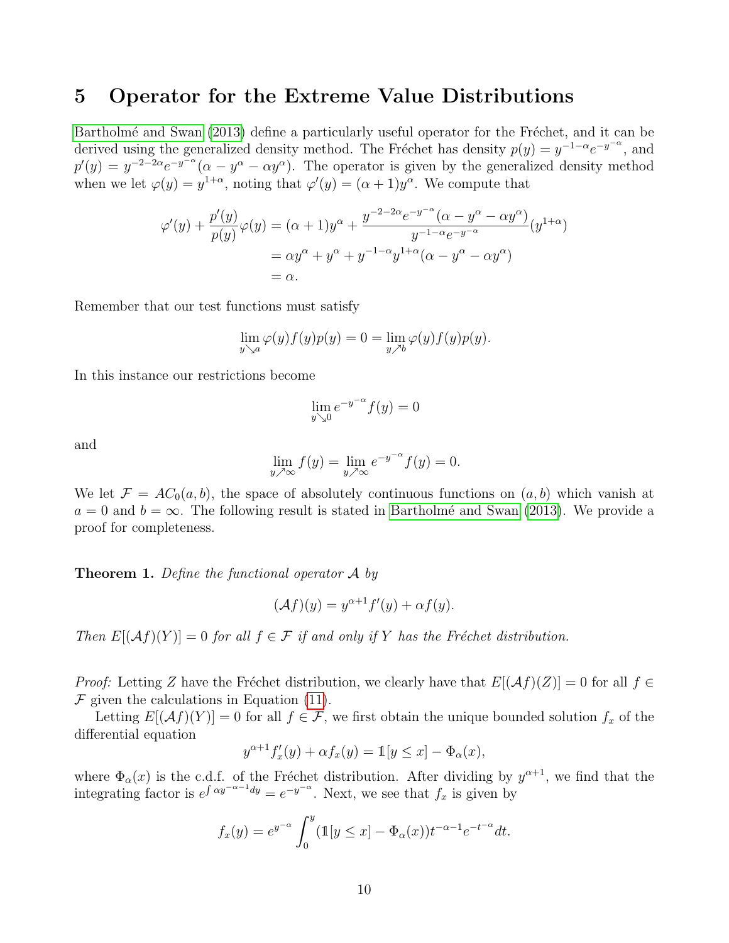### 5 Operator for the Extreme Value Distributions

Bartholmé and Swan [\(2013\)](#page-17-3) define a particularly useful operator for the Fréchet, and it can be derived using the generalized density method. The Fréchet has density  $p(y) = y^{-1-\alpha}e^{-y-\alpha}$ , and  $p'(y) = y^{-2-2\alpha}e^{-y-\alpha}(\alpha - y^{\alpha} - \alpha y^{\alpha})$ . The operator is given by the generalized density method when we let  $\varphi(y) = y^{1+\alpha}$ , noting that  $\varphi'(y) = (\alpha+1)y^{\alpha}$ . We compute that

$$
\varphi'(y) + \frac{p'(y)}{p(y)}\varphi(y) = (\alpha + 1)y^{\alpha} + \frac{y^{-2-2\alpha}e^{-y^{-\alpha}}(\alpha - y^{\alpha} - \alpha y^{\alpha})}{y^{-1-\alpha}e^{-y^{-\alpha}}}(y^{1+\alpha})
$$

$$
= \alpha y^{\alpha} + y^{\alpha} + y^{-1-\alpha}y^{1+\alpha}(\alpha - y^{\alpha} - \alpha y^{\alpha})
$$

$$
= \alpha.
$$

Remember that our test functions must satisfy

$$
\lim_{y \searrow a} \varphi(y) f(y) p(y) = 0 = \lim_{y \nearrow b} \varphi(y) f(y) p(y).
$$

In this instance our restrictions become

$$
\lim_{y \searrow 0} e^{-y^{-\alpha}} f(y) = 0
$$

and

$$
\lim_{y \nearrow \infty} f(y) = \lim_{y \nearrow \infty} e^{-y^{-\alpha}} f(y) = 0.
$$

We let  $\mathcal{F} = AC_0(a, b)$ , the space of absolutely continuous functions on  $(a, b)$  which vanish at  $a = 0$  and  $b = \infty$ . The following result is stated in Bartholmé and Swan [\(2013\)](#page-17-3). We provide a proof for completeness.

**Theorem 1.** Define the functional operator  $\mathcal{A}$  by

$$
(\mathcal{A}f)(y) = y^{\alpha+1}f'(y) + \alpha f(y).
$$

Then  $E[(Af)(Y)] = 0$  for all  $f \in \mathcal{F}$  if and only if Y has the Fréchet distribution.

*Proof:* Letting Z have the Fréchet distribution, we clearly have that  $E[(\mathcal{A}f)(Z)] = 0$  for all  $f \in$  $F$  given the calculations in Equation [\(11\)](#page-8-1).

Letting  $E[(Af)(Y)] = 0$  for all  $f \in \mathcal{F}$ , we first obtain the unique bounded solution  $f_x$  of the differential equation

$$
y^{\alpha+1}f'_x(y) + \alpha f_x(y) = \mathbb{1}[y \le x] - \Phi_\alpha(x),
$$

where  $\Phi_{\alpha}(x)$  is the c.d.f. of the Fréchet distribution. After dividing by  $y^{\alpha+1}$ , we find that the integrating factor is  $e^{\int \alpha y^{-\alpha-1}dy} = e^{-y^{-\alpha}}$ . Next, we see that  $f_x$  is given by

$$
f_x(y) = e^{y^{-\alpha}} \int_0^y (\mathbb{1}[y \le x] - \Phi_\alpha(x)) t^{-\alpha - 1} e^{-t^{-\alpha}} dt.
$$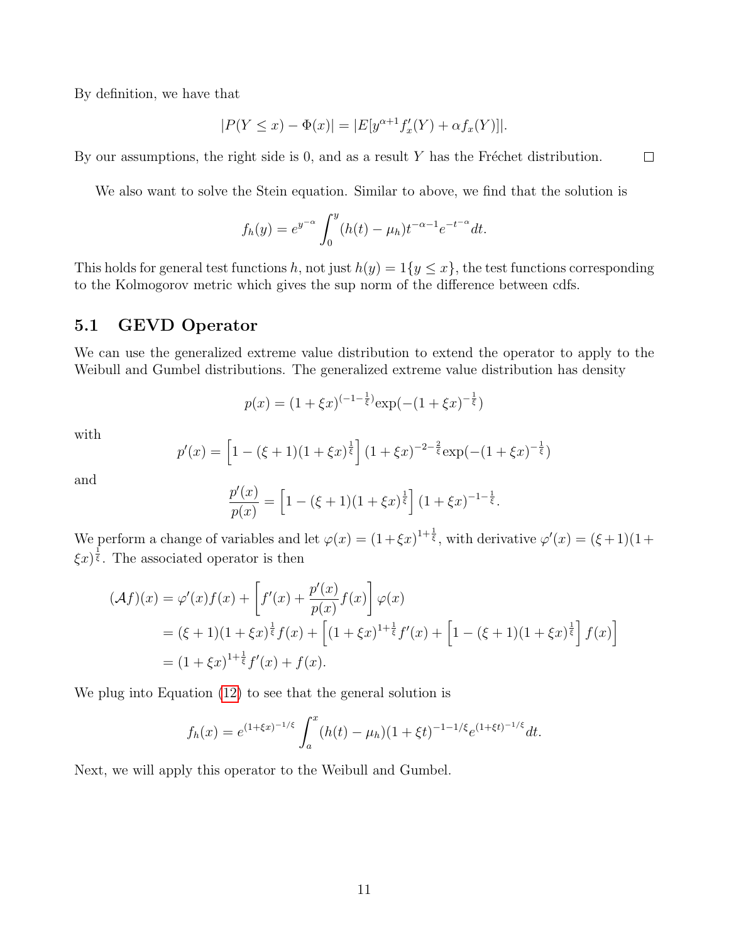By definition, we have that

$$
|P(Y \le x) - \Phi(x)| = |E[y^{\alpha+1} f_x'(Y) + \alpha f_x(Y)]|.
$$

 $\Box$ 

By our assumptions, the right side is 0, and as a result  $Y$  has the Fréchet distribution.

We also want to solve the Stein equation. Similar to above, we find that the solution is

$$
f_h(y) = e^{y^{-\alpha}} \int_0^y (h(t) - \mu_h) t^{-\alpha - 1} e^{-t^{-\alpha}} dt.
$$

This holds for general test functions h, not just  $h(y) = 1\{y \leq x\}$ , the test functions corresponding to the Kolmogorov metric which gives the sup norm of the difference between cdfs.

### 5.1 GEVD Operator

We can use the generalized extreme value distribution to extend the operator to apply to the Weibull and Gumbel distributions. The generalized extreme value distribution has density

$$
p(x) = (1 + \xi x)^{(-1 - \frac{1}{\xi})} \exp(-(1 + \xi x)^{-\frac{1}{\xi}})
$$

with

$$
p'(x) = \left[1 - (\xi + 1)(1 + \xi x)^{\frac{1}{\xi}}\right] (1 + \xi x)^{-2 - \frac{2}{\xi}} \exp(-(1 + \xi x)^{-\frac{1}{\xi}})
$$

and

$$
\frac{p'(x)}{p(x)} = \left[1 - (\xi + 1)(1 + \xi x)^{\frac{1}{\xi}}\right] (1 + \xi x)^{-1 - \frac{1}{\xi}}.
$$

We perform a change of variables and let  $\varphi(x) = (1 + \xi x)^{1 + \frac{1}{\xi}}$ , with derivative  $\varphi'(x) = (\xi + 1)(1 + \xi x)^{1 + \frac{1}{\xi}}$  $\xi x^{\frac{1}{5}}$ . The associated operator is then

$$
\begin{aligned} (\mathcal{A}f)(x) &= \varphi'(x)f(x) + \left[f'(x) + \frac{p'(x)}{p(x)}f(x)\right]\varphi(x) \\ &= (\xi + 1)(1 + \xi x)^{\frac{1}{\xi}}f(x) + \left[(1 + \xi x)^{1 + \frac{1}{\xi}}f'(x) + \left[1 - (\xi + 1)(1 + \xi x)^{\frac{1}{\xi}}\right]f(x)\right] \\ &= (1 + \xi x)^{1 + \frac{1}{\xi}}f'(x) + f(x). \end{aligned}
$$

We plug into Equation [\(12\)](#page-8-0) to see that the general solution is

$$
f_h(x) = e^{(1+\xi x)^{-1/\xi}} \int_a^x (h(t) - \mu_h)(1+\xi t)^{-1-1/\xi} e^{(1+\xi t)^{-1/\xi}} dt.
$$

Next, we will apply this operator to the Weibull and Gumbel.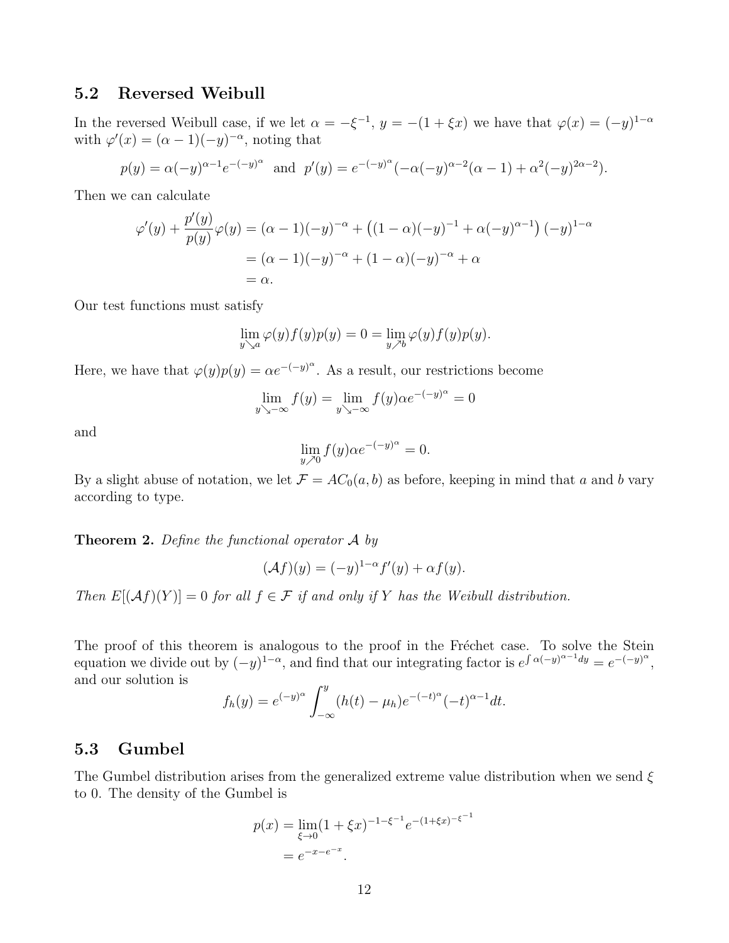### 5.2 Reversed Weibull

In the reversed Weibull case, if we let  $\alpha = -\xi^{-1}$ ,  $y = -(1 + \xi x)$  we have that  $\varphi(x) = (-y)^{1-\alpha}$ with  $\varphi'(x) = (\alpha - 1)(-y)^{-\alpha}$ , noting that

$$
p(y) = \alpha(-y)^{\alpha-1}e^{-(-y)^{\alpha}}
$$
 and  $p'(y) = e^{-(-y)^{\alpha}}(-\alpha(-y)^{\alpha-2}(\alpha-1) + \alpha^{2}(-y)^{2\alpha-2}).$ 

Then we can calculate

$$
\varphi'(y) + \frac{p'(y)}{p(y)}\varphi(y) = (\alpha - 1)(-y)^{-\alpha} + ((1 - \alpha)(-y)^{-1} + \alpha(-y)^{\alpha - 1})(-y)^{1 - \alpha}
$$
  
= (\alpha - 1)(-y)^{-\alpha} + (1 - \alpha)(-y)^{-\alpha} + \alpha  
= \alpha.

Our test functions must satisfy

$$
\lim_{y \searrow a} \varphi(y) f(y) p(y) = 0 = \lim_{y \nearrow b} \varphi(y) f(y) p(y).
$$

Here, we have that  $\varphi(y)p(y) = \alpha e^{-(y)^{\alpha}}$ . As a result, our restrictions become

$$
\lim_{y \searrow -\infty} f(y) = \lim_{y \searrow -\infty} f(y) \alpha e^{-(-y)^{\alpha}} = 0
$$

and

$$
\lim_{y \nearrow 0} f(y) \alpha e^{-(-y)^{\alpha}} = 0.
$$

By a slight abuse of notation, we let  $\mathcal{F} = AC_0(a, b)$  as before, keeping in mind that a and b vary according to type.

**Theorem 2.** Define the functional operator  $\mathcal{A}$  by

$$
(\mathcal{A}f)(y) = (-y)^{1-\alpha} f'(y) + \alpha f(y).
$$

Then  $E[(Af)(Y)] = 0$  for all  $f \in \mathcal{F}$  if and only if Y has the Weibull distribution.

The proof of this theorem is analogous to the proof in the Fréchet case. To solve the Stein equation we divide out by  $(-y)^{1-\alpha}$ , and find that our integrating factor is  $e^{\int \alpha(-y)^{\alpha-1}dy} = e^{-(-y)^{\alpha}}$ , and our solution is

$$
f_h(y) = e^{(-y)^{\alpha}} \int_{-\infty}^{y} (h(t) - \mu_h) e^{-(-t)^{\alpha}} (-t)^{\alpha-1} dt.
$$

### 5.3 Gumbel

The Gumbel distribution arises from the generalized extreme value distribution when we send  $\xi$ to 0. The density of the Gumbel is

$$
p(x) = \lim_{\xi \to 0} (1 + \xi x)^{-1 - \xi^{-1}} e^{-(1 + \xi x)^{-\xi^{-1}}}
$$
  
=  $e^{-x - e^{-x}}$ .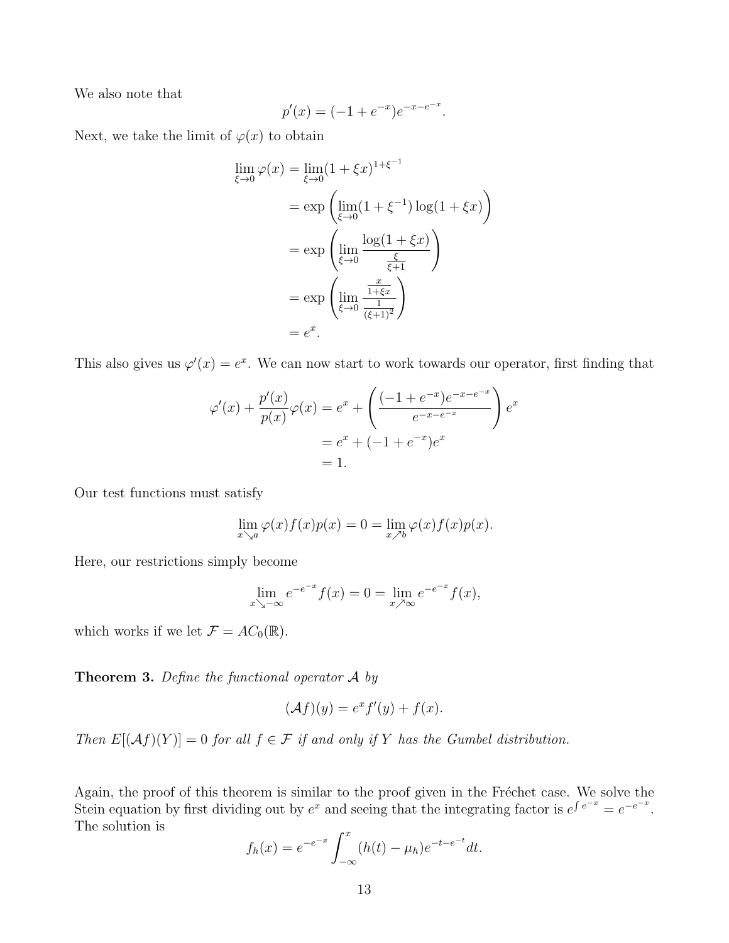We also note that

$$
p'(x) = (-1 + e^{-x})e^{-x - e^{-x}}.
$$

Next, we take the limit of  $\varphi(x)$  to obtain

$$
\lim_{\xi \to 0} \varphi(x) = \lim_{\xi \to 0} (1 + \xi x)^{1 + \xi^{-1}}
$$
\n
$$
= \exp\left(\lim_{\xi \to 0} (1 + \xi^{-1}) \log(1 + \xi x)\right)
$$
\n
$$
= \exp\left(\lim_{\xi \to 0} \frac{\log(1 + \xi x)}{\frac{\xi}{\xi + 1}}\right)
$$
\n
$$
= \exp\left(\lim_{\xi \to 0} \frac{\frac{x}{1 + \xi x}}{\frac{1 + \xi x}{(\xi + 1)^2}}\right)
$$
\n
$$
= e^x.
$$

This also gives us  $\varphi'(x) = e^x$ . We can now start to work towards our operator, first finding that

$$
\varphi'(x) + \frac{p'(x)}{p(x)}\varphi(x) = e^x + \left(\frac{(-1 + e^{-x})e^{-x - e^{-x}}}{e^{-x - e^{-x}}}\right)e^x
$$

$$
= e^x + (-1 + e^{-x})e^x
$$

$$
= 1.
$$

Our test functions must satisfy

$$
\lim_{x \searrow a} \varphi(x) f(x) p(x) = 0 = \lim_{x \nearrow b} \varphi(x) f(x) p(x).
$$

Here, our restrictions simply become

$$
\lim_{x \searrow -\infty} e^{-e^{-x}} f(x) = 0 = \lim_{x \nearrow \infty} e^{-e^{-x}} f(x),
$$

which works if we let  $\mathcal{F} = AC_0(\mathbb{R})$ .

**Theorem 3.** Define the functional operator  $\mathcal{A}$  by

$$
(\mathcal{A}f)(y) = e^x f'(y) + f(x).
$$

Then  $E[(Af)(Y)] = 0$  for all  $f \in \mathcal{F}$  if and only if Y has the Gumbel distribution.

Again, the proof of this theorem is similar to the proof given in the Fréchet case. We solve the Stein equation by first dividing out by  $e^x$  and seeing that the integrating factor is  $e^{\int e^{-x}} = e^{-e^{-x}}$ . The solution is

$$
f_h(x) = e^{-e^{-x}} \int_{-\infty}^x (h(t) - \mu_h) e^{-t - e^{-t}} dt.
$$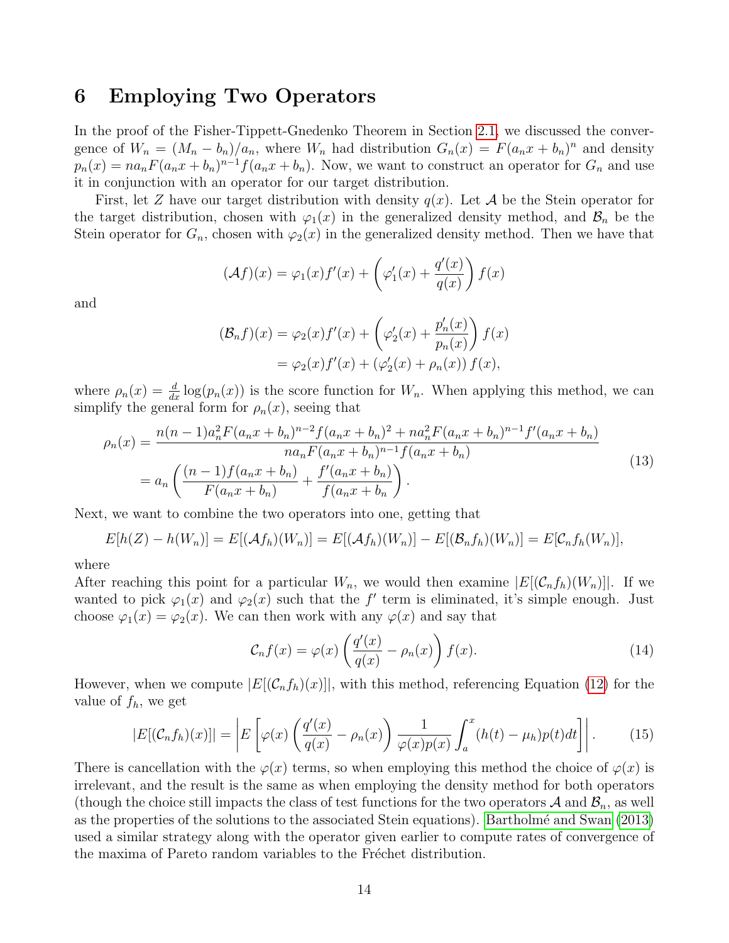# 6 Employing Two Operators

In the proof of the Fisher-Tippett-Gnedenko Theorem in Section [2.1,](#page-3-2) we discussed the convergence of  $W_n = (M_n - b_n)/a_n$ , where  $W_n$  had distribution  $G_n(x) = F(a_n x + b_n)^n$  and density  $p_n(x) = na_n F(a_n x + b_n)^{n-1} f(a_n x + b_n)$ . Now, we want to construct an operator for  $G_n$  and use it in conjunction with an operator for our target distribution.

First, let Z have our target distribution with density  $q(x)$ . Let A be the Stein operator for the target distribution, chosen with  $\varphi_1(x)$  in the generalized density method, and  $\mathcal{B}_n$  be the Stein operator for  $G_n$ , chosen with  $\varphi_2(x)$  in the generalized density method. Then we have that

<span id="page-15-0"></span>
$$
(\mathcal{A}f)(x) = \varphi_1(x)f'(x) + \left(\varphi_1'(x) + \frac{q'(x)}{q(x)}\right)f(x)
$$

and

$$
(\mathcal{B}_n f)(x) = \varphi_2(x) f'(x) + \left(\varphi'_2(x) + \frac{p'_n(x)}{p_n(x)}\right) f(x)
$$
  
=  $\varphi_2(x) f'(x) + (\varphi'_2(x) + \rho_n(x)) f(x),$ 

where  $\rho_n(x) = \frac{d}{dx} \log(p_n(x))$  is the score function for  $W_n$ . When applying this method, we can simplify the general form for  $\rho_n(x)$ , seeing that

$$
\rho_n(x) = \frac{n(n-1)a_n^2 F(a_n x + b_n)^{n-2} f(a_n x + b_n)^2 + na_n^2 F(a_n x + b_n)^{n-1} f'(a_n x + b_n)}{na_n F(a_n x + b_n)^{n-1} f(a_n x + b_n)}
$$
  
= 
$$
a_n \left( \frac{(n-1) f(a_n x + b_n)}{F(a_n x + b_n)} + \frac{f'(a_n x + b_n)}{f(a_n x + b_n)} \right).
$$
 (13)

Next, we want to combine the two operators into one, getting that

$$
E[h(Z) - h(W_n)] = E[(Af_h)(W_n)] = E[(Af_h)(W_n)] - E[(B_nf_h)(W_n)] = E[C_nf_h(W_n)],
$$

where

After reaching this point for a particular  $W_n$ , we would then examine  $|E[(\mathcal{C}_n f_h)(W_n)]|$ . If we wanted to pick  $\varphi_1(x)$  and  $\varphi_2(x)$  such that the f' term is eliminated, it's simple enough. Just choose  $\varphi_1(x) = \varphi_2(x)$ . We can then work with any  $\varphi(x)$  and say that

$$
\mathcal{C}_n f(x) = \varphi(x) \left( \frac{q'(x)}{q(x)} - \rho_n(x) \right) f(x). \tag{14}
$$

However, when we compute  $|E[(\mathcal{C}_n f_h)(x)]|$ , with this method, referencing Equation [\(12\)](#page-8-0) for the value of  $f_h$ , we get

<span id="page-15-1"></span>
$$
|E[(\mathcal{C}_n f_h)(x)]| = \left| E\left[\varphi(x) \left(\frac{q'(x)}{q(x)} - \rho_n(x)\right) \frac{1}{\varphi(x)p(x)} \int_a^x (h(t) - \mu_h)p(t)dt\right] \right|.
$$
 (15)

There is cancellation with the  $\varphi(x)$  terms, so when employing this method the choice of  $\varphi(x)$  is irrelevant, and the result is the same as when employing the density method for both operators (though the choice still impacts the class of test functions for the two operators  $\mathcal A$  and  $\mathcal B_n$ , as well as the properties of the solutions to the associated Stein equations). [Bartholm´e and Swan](#page-17-3) [\(2013\)](#page-17-3) used a similar strategy along with the operator given earlier to compute rates of convergence of the maxima of Pareto random variables to the Fréchet distribution.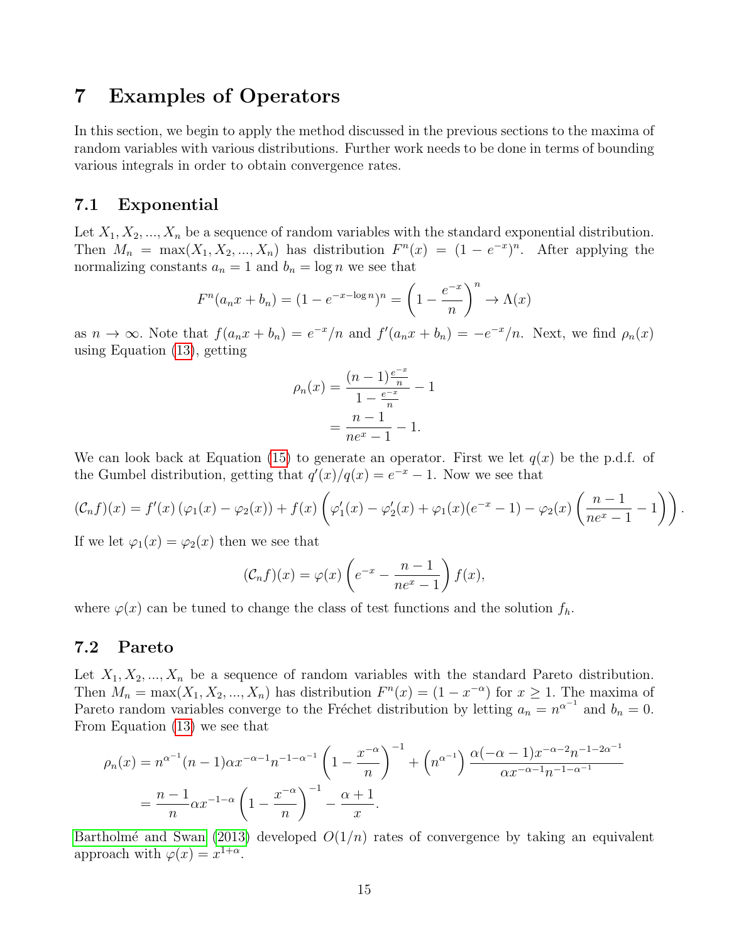### 7 Examples of Operators

In this section, we begin to apply the method discussed in the previous sections to the maxima of random variables with various distributions. Further work needs to be done in terms of bounding various integrals in order to obtain convergence rates.

### 7.1 Exponential

Let  $X_1, X_2, ..., X_n$  be a sequence of random variables with the standard exponential distribution. Then  $M_n = \max(X_1, X_2, ..., X_n)$  has distribution  $F^n(x) = (1 - e^{-x})^n$ . After applying the normalizing constants  $a_n = 1$  and  $b_n = \log n$  we see that

$$
F^n(a_nx + b_n) = (1 - e^{-x - \log n})^n = \left(1 - \frac{e^{-x}}{n}\right)^n \to \Lambda(x)
$$

as  $n \to \infty$ . Note that  $f(a_n x + b_n) = e^{-x}/n$  and  $f'(a_n x + b_n) = -e^{-x}/n$ . Next, we find  $\rho_n(x)$ using Equation [\(13\)](#page-15-0), getting

$$
\rho_n(x) = \frac{(n-1)\frac{e^{-x}}{n}}{1 - \frac{e^{-x}}{n}} - 1
$$

$$
= \frac{n-1}{ne^x - 1} - 1.
$$

We can look back at Equation [\(15\)](#page-15-1) to generate an operator. First we let  $q(x)$  be the p.d.f. of the Gumbel distribution, getting that  $q'(x)/q(x) = e^{-x} - 1$ . Now we see that

$$
(\mathcal{C}_n f)(x) = f'(x) (\varphi_1(x) - \varphi_2(x)) + f(x) \left( \varphi'_1(x) - \varphi'_2(x) + \varphi_1(x) (e^{-x} - 1) - \varphi_2(x) \left( \frac{n-1}{n e^x - 1} - 1 \right) \right).
$$

If we let  $\varphi_1(x) = \varphi_2(x)$  then we see that

$$
(\mathcal{C}_n f)(x) = \varphi(x) \left( e^{-x} - \frac{n-1}{ne^x - 1} \right) f(x),
$$

where  $\varphi(x)$  can be tuned to change the class of test functions and the solution  $f_h$ .

### 7.2 Pareto

Let  $X_1, X_2, ..., X_n$  be a sequence of random variables with the standard Pareto distribution. Then  $M_n = \max(X_1, X_2, ..., X_n)$  has distribution  $F^n(x) = (1 - x^{-\alpha})$  for  $x \ge 1$ . The maxima of Pareto random variables converge to the Fréchet distribution by letting  $a_n = n^{\alpha^{-1}}$  and  $b_n = 0$ . From Equation [\(13\)](#page-15-0) we see that

$$
\rho_n(x) = n^{\alpha - 1} (n - 1) \alpha x^{-\alpha - 1} n^{-1 - \alpha - 1} \left( 1 - \frac{x^{-\alpha}}{n} \right)^{-1} + \left( n^{\alpha - 1} \right) \frac{\alpha (-\alpha - 1) x^{-\alpha - 2} n^{-1 - 2\alpha - 1}}{\alpha x^{-\alpha - 1} n^{-1 - \alpha - 1}}
$$

$$
= \frac{n - 1}{n} \alpha x^{-1 - \alpha} \left( 1 - \frac{x^{-\alpha}}{n} \right)^{-1} - \frac{\alpha + 1}{x}.
$$

Bartholmé and Swan [\(2013\)](#page-17-3) developed  $O(1/n)$  rates of convergence by taking an equivalent approach with  $\varphi(x) = x^{1+\alpha}$ .